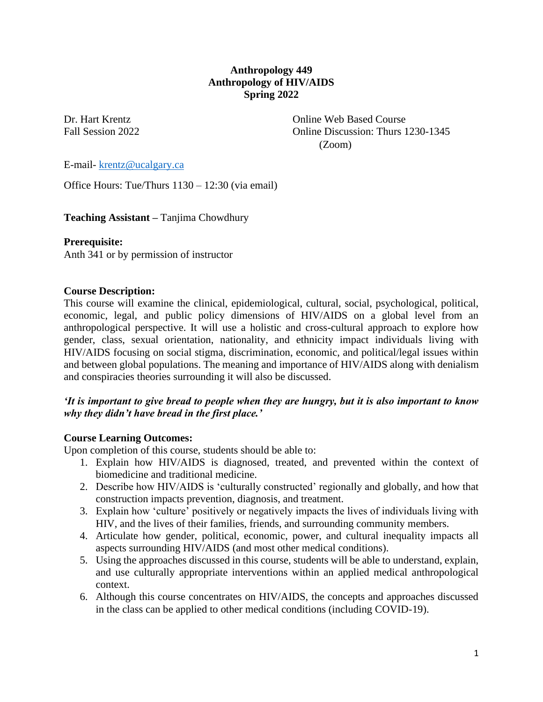# **Anthropology 449 Anthropology of HIV/AIDS Spring 2022**

Dr. Hart Krentz Online Web Based Course Fall Session 2022 Communication Communication Communication Communication: Thurs 1230-1345 (Zoom)

E-mail- [krentz@ucalgary.ca](mailto:krentz@ucalgary.ca)

Office Hours: Tue/Thurs 1130 – 12:30 (via email)

**Teaching Assistant –** Tanjima Chowdhury

**Prerequisite:**

Anth 341 or by permission of instructor

### **Course Description:**

This course will examine the clinical, epidemiological, cultural, social, psychological, political, economic, legal, and public policy dimensions of HIV/AIDS on a global level from an anthropological perspective. It will use a holistic and cross-cultural approach to explore how gender, class, sexual orientation, nationality, and ethnicity impact individuals living with HIV/AIDS focusing on social stigma, discrimination, economic, and political/legal issues within and between global populations. The meaning and importance of HIV/AIDS along with denialism and conspiracies theories surrounding it will also be discussed.

### *'It is important to give bread to people when they are hungry, but it is also important to know why they didn't have bread in the first place.'*

#### **Course Learning Outcomes:**

Upon completion of this course, students should be able to:

- 1. Explain how HIV/AIDS is diagnosed, treated, and prevented within the context of biomedicine and traditional medicine.
- 2. Describe how HIV/AIDS is 'culturally constructed' regionally and globally, and how that construction impacts prevention, diagnosis, and treatment.
- 3. Explain how 'culture' positively or negatively impacts the lives of individuals living with HIV, and the lives of their families, friends, and surrounding community members.
- 4. Articulate how gender, political, economic, power, and cultural inequality impacts all aspects surrounding HIV/AIDS (and most other medical conditions).
- 5. Using the approaches discussed in this course, students will be able to understand, explain, and use culturally appropriate interventions within an applied medical anthropological context.
- 6. Although this course concentrates on HIV/AIDS, the concepts and approaches discussed in the class can be applied to other medical conditions (including COVID-19).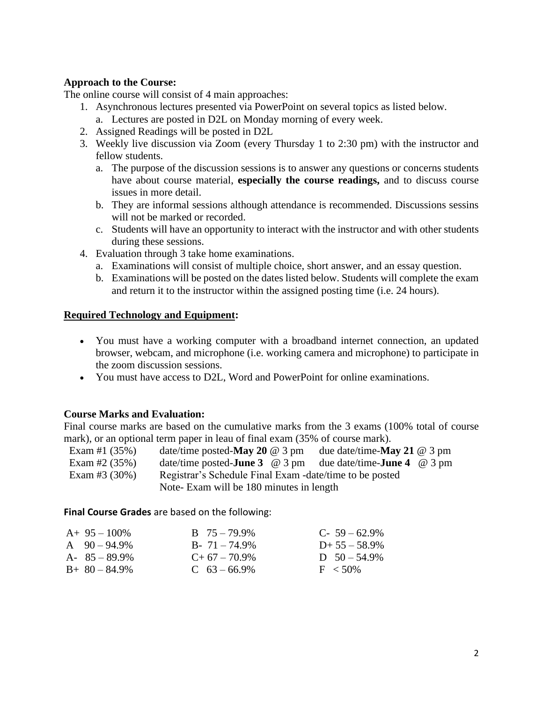## **Approach to the Course:**

The online course will consist of 4 main approaches:

- 1. Asynchronous lectures presented via PowerPoint on several topics as listed below.
	- a. Lectures are posted in D2L on Monday morning of every week.
- 2. Assigned Readings will be posted in D2L
- 3. Weekly live discussion via Zoom (every Thursday 1 to 2:30 pm) with the instructor and fellow students.
	- a. The purpose of the discussion sessions is to answer any questions or concerns students have about course material, **especially the course readings,** and to discuss course issues in more detail.
	- b. They are informal sessions although attendance is recommended. Discussions sessins will not be marked or recorded.
	- c. Students will have an opportunity to interact with the instructor and with other students during these sessions.
- 4. Evaluation through 3 take home examinations.
	- a. Examinations will consist of multiple choice, short answer, and an essay question.
	- b. Examinations will be posted on the dates listed below. Students will complete the exam and return it to the instructor within the assigned posting time (i.e. 24 hours).

### **Required Technology and Equipment:**

- You must have a working computer with a broadband internet connection, an updated browser, webcam, and microphone (i.e. working camera and microphone) to participate in the zoom discussion sessions.
- You must have access to D2L, Word and PowerPoint for online examinations.

# **Course Marks and Evaluation:**

Final course marks are based on the cumulative marks from the 3 exams (100% total of course mark), or an optional term paper in leau of final exam (35% of course mark).

| Exam #1 $(35%)$  | date/time posted-May 20 $@$ 3 pm                        | due date/time- <b>May 21</b> $@$ 3 pm |
|------------------|---------------------------------------------------------|---------------------------------------|
| Exam #2 $(35%)$  | date/time posted- <b>June 3</b> $\omega$ 3 pm           | due date/time- <b>June 4</b> @ 3 pm   |
| Exam #3 $(30\%)$ | Registrar's Schedule Final Exam -date/time to be posted |                                       |
|                  | Note-Exam will be 180 minutes in length                 |                                       |

**Final Course Grades** are based on the following:

| $A+95-100\%$      | $B \t 75 - 79.9\%$ | $C-59-62.9%$    |
|-------------------|--------------------|-----------------|
| A $90 - 94.9\%$   | $B - 71 - 74.9\%$  | $D+ 55 - 58.9%$ |
| $A - 85 - 89.9\%$ | $C+67-70.9\%$      | D $50 - 54.9\%$ |
| $B+80-84.9\%$     | $C$ 63 – 66.9%     | $F < 50\%$      |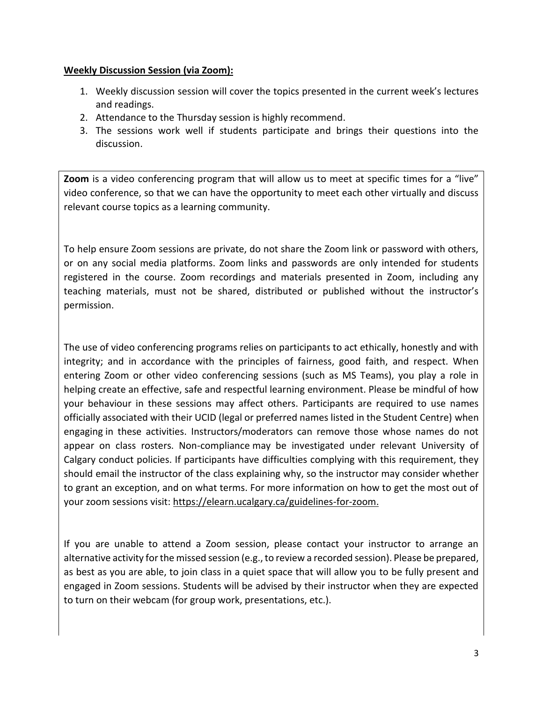### **Weekly Discussion Session (via Zoom):**

- 1. Weekly discussion session will cover the topics presented in the current week's lectures and readings.
- 2. Attendance to the Thursday session is highly recommend.
- 3. The sessions work well if students participate and brings their questions into the discussion.

**Zoom** is a video conferencing program that will allow us to meet at specific times for a "live" video conference, so that we can have the opportunity to meet each other virtually and discuss relevant course topics as a learning community.

To help ensure Zoom sessions are private, do not share the Zoom link or password with others, or on any social media platforms. Zoom links and passwords are only intended for students registered in the course. Zoom recordings and materials presented in Zoom, including any teaching materials, must not be shared, distributed or published without the instructor's permission.

The use of video conferencing programs relies on participants to act ethically, honestly and with integrity; and in accordance with the principles of fairness, good faith, and respect. When entering Zoom or other video conferencing sessions (such as MS Teams), you play a role in helping create an effective, safe and respectful learning environment. Please be mindful of how your behaviour in these sessions may affect others. Participants are required to use names officially associated with their UCID (legal or preferred names listed in the Student Centre) when engaging in these activities. Instructors/moderators can remove those whose names do not appear on class rosters. Non-compliance may be investigated under relevant University of Calgary conduct policies. If participants have difficulties complying with this requirement, they should email the instructor of the class explaining why, so the instructor may consider whether to grant an exception, and on what terms. For more information on how to get the most out of your zoom sessions visit: [https://elearn.ucalgary.ca/guidelines-for-zoom.](https://elearn.ucalgary.ca/guidelines-for-zoom)

If you are unable to attend a Zoom session, please contact your instructor to arrange an alternative activity for the missed session (e.g., to review a recorded session). Please be prepared, as best as you are able, to join class in a quiet space that will allow you to be fully present and engaged in Zoom sessions. Students will be advised by their instructor when they are expected to turn on their webcam (for group work, presentations, etc.).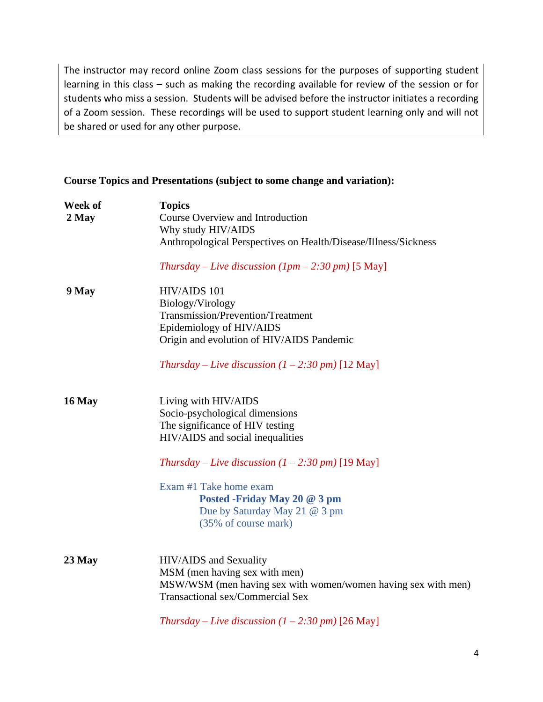The instructor may record online Zoom class sessions for the purposes of supporting student learning in this class – such as making the recording available for review of the session or for students who miss a session. Students will be advised before the instructor initiates a recording of a Zoom session. These recordings will be used to support student learning only and will not be shared or used for any other purpose.

### **Course Topics and Presentations (subject to some change and variation):**

| Week of<br>2 May | <b>Topics</b><br>Course Overview and Introduction<br>Why study HIV/AIDS<br>Anthropological Perspectives on Health/Disease/Illness/Sickness                   |
|------------------|--------------------------------------------------------------------------------------------------------------------------------------------------------------|
|                  | Thursday – Live discussion $(1pm - 2:30pm)$ [5 May]                                                                                                          |
| 9 May            | HIV/AIDS 101<br>Biology/Virology<br>Transmission/Prevention/Treatment<br>Epidemiology of HIV/AIDS<br>Origin and evolution of HIV/AIDS Pandemic               |
|                  | Thursday – Live discussion $(1 – 2.30 \text{ pm})$ [12 May]                                                                                                  |
| <b>16 May</b>    | Living with HIV/AIDS<br>Socio-psychological dimensions<br>The significance of HIV testing<br>HIV/AIDS and social inequalities                                |
|                  | Thursday – Live discussion $(1 – 2:30 \text{ pm})$ [19 May]                                                                                                  |
|                  | Exam #1 Take home exam<br>Posted -Friday May 20 @ 3 pm<br>Due by Saturday May 21 @ 3 pm<br>(35% of course mark)                                              |
| $23$ May         | HIV/AIDS and Sexuality<br>MSM (men having sex with men)<br>MSW/WSM (men having sex with women/women having sex with men)<br>Transactional sex/Commercial Sex |
|                  | Thursday – Live discussion $(1 – 2.30 \text{ pm})$ [26 May]                                                                                                  |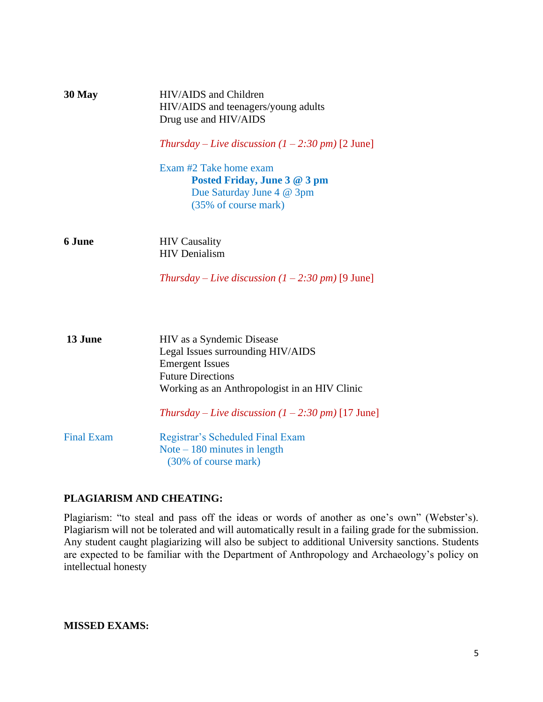| 30 May            | HIV/AIDS and Children<br>HIV/AIDS and teenagers/young adults<br>Drug use and HIV/AIDS                       |  |  |
|-------------------|-------------------------------------------------------------------------------------------------------------|--|--|
|                   | Thursday – Live discussion $(1 – 2:30 \text{ pm})$ [2 June]                                                 |  |  |
|                   | Exam #2 Take home exam<br>Posted Friday, June 3 @ 3 pm<br>Due Saturday June 4 @ 3pm<br>(35% of course mark) |  |  |
| 6 June            | <b>HIV</b> Causality<br><b>HIV</b> Denialism                                                                |  |  |
|                   | Thursday – Live discussion $(1 – 2:30 \text{ pm})$ [9 June]                                                 |  |  |
| 13 June           | HIV as a Syndemic Disease                                                                                   |  |  |
|                   | Legal Issues surrounding HIV/AIDS                                                                           |  |  |
|                   | <b>Emergent Issues</b>                                                                                      |  |  |
|                   | <b>Future Directions</b><br>Working as an Anthropologist in an HIV Clinic                                   |  |  |
|                   | Thursday – Live discussion $(1 – 2:30 \text{ pm})$ [17 June]                                                |  |  |
| <b>Final Exam</b> | Registrar's Scheduled Final Exam                                                                            |  |  |
|                   | Note $-180$ minutes in length                                                                               |  |  |

(30% of course mark)

# **PLAGIARISM AND CHEATING:**

Plagiarism: "to steal and pass off the ideas or words of another as one's own" (Webster's). Plagiarism will not be tolerated and will automatically result in a failing grade for the submission. Any student caught plagiarizing will also be subject to additional University sanctions. Students are expected to be familiar with the Department of Anthropology and Archaeology's policy on intellectual honesty

**MISSED EXAMS:**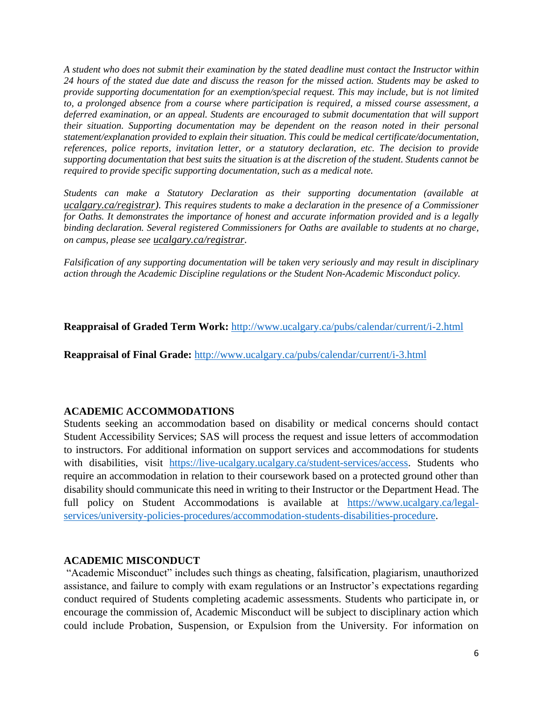*A student who does not submit their examination by the stated deadline must contact the Instructor within 24 hours of the stated due date and discuss the reason for the missed action. Students may be asked to provide supporting documentation for an exemption/special request. This may include, but is not limited to, a prolonged absence from a course where participation is required, a missed course assessment, a deferred examination, or an appeal. Students are encouraged to submit documentation that will support their situation. Supporting documentation may be dependent on the reason noted in their personal statement/explanation provided to explain their situation. This could be medical certificate/documentation, references, police reports, invitation letter, or a statutory declaration, etc. The decision to provide supporting documentation that best suits the situation is at the discretion of the student. Students cannot be required to provide specific supporting documentation, such as a medical note.* 

*Students can make a Statutory Declaration as their supporting documentation (available at [ucalgary.ca/registrar\)](http://www.ucalgary.ca/registrar). This requires students to make a declaration in the presence of a Commissioner for Oaths. It demonstrates the importance of honest and accurate information provided and is a legally binding declaration. Several registered Commissioners for Oaths are available to students at no charge, on campus, please see [ucalgary.ca/registrar.](http://www.ucalgary.ca/registrar)*

*Falsification of any supporting documentation will be taken very seriously and may result in disciplinary action through the Academic Discipline regulations or the Student Non-Academic Misconduct policy.*

**Reappraisal of Graded Term Work:** <http://www.ucalgary.ca/pubs/calendar/current/i-2.html>

**Reappraisal of Final Grade:** <http://www.ucalgary.ca/pubs/calendar/current/i-3.html>

#### **ACADEMIC ACCOMMODATIONS**

Students seeking an accommodation based on disability or medical concerns should contact Student Accessibility Services; SAS will process the request and issue letters of accommodation to instructors. For additional information on support services and accommodations for students with disabilities, visit [https://live-ucalgary.ucalgary.ca/student-services/access.](https://live-ucalgary.ucalgary.ca/student-services/access) Students who require an accommodation in relation to their coursework based on a protected ground other than disability should communicate this need in writing to their Instructor or the Department Head. The full policy on Student Accommodations is available at [https://www.ucalgary.ca/legal](https://www.ucalgary.ca/legal-services/university-policies-procedures/accommodation-students-disabilities-procedure)[services/university-policies-procedures/accommodation-students-disabilities-procedure.](https://www.ucalgary.ca/legal-services/university-policies-procedures/accommodation-students-disabilities-procedure)

#### **ACADEMIC MISCONDUCT**

"Academic Misconduct" includes such things as cheating, falsification, plagiarism, unauthorized assistance, and failure to comply with exam regulations or an Instructor's expectations regarding conduct required of Students completing academic assessments. Students who participate in, or encourage the commission of, Academic Misconduct will be subject to disciplinary action which could include Probation, Suspension, or Expulsion from the University. For information on